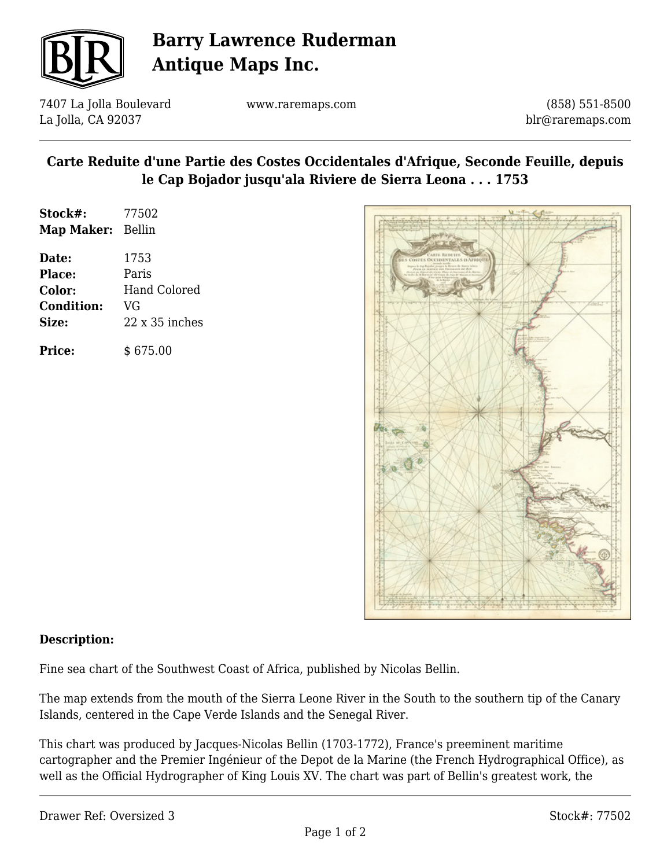

# **Barry Lawrence Ruderman Antique Maps Inc.**

7407 La Jolla Boulevard La Jolla, CA 92037

www.raremaps.com

(858) 551-8500 blr@raremaps.com

### **Carte Reduite d'une Partie des Costes Occidentales d'Afrique, Seconde Feuille, depuis le Cap Bojador jusqu'ala Riviere de Sierra Leona . . . 1753**

| Stock#:<br><b>Map Maker:</b> | 77502<br>Bellin       |
|------------------------------|-----------------------|
| Date:                        | 1753                  |
| Place:                       | Paris                 |
| Color:                       | Hand Colored          |
| <b>Condition:</b>            | VG                    |
| Size:                        | $22 \times 35$ inches |
| <b>Price:</b>                | \$675.00              |



#### **Description:**

Fine sea chart of the Southwest Coast of Africa, published by Nicolas Bellin.

The map extends from the mouth of the Sierra Leone River in the South to the southern tip of the Canary Islands, centered in the Cape Verde Islands and the Senegal River.

This chart was produced by Jacques-Nicolas Bellin (1703-1772), France's preeminent maritime cartographer and the Premier Ingénieur of the Depot de la Marine (the French Hydrographical Office), as well as the Official Hydrographer of King Louis XV. The chart was part of Bellin's greatest work, the